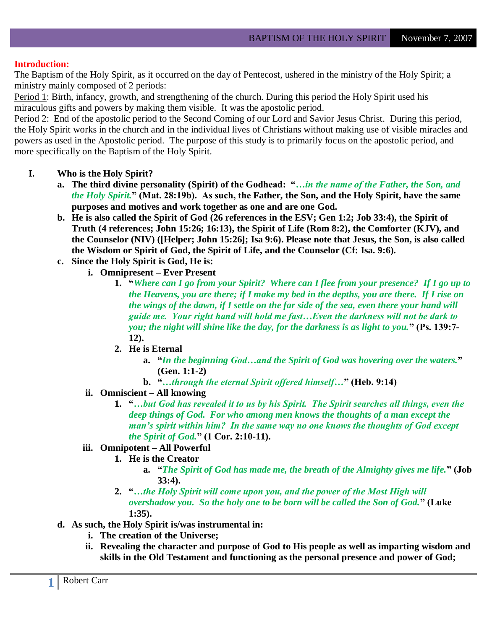#### **Introduction:**

The Baptism of the Holy Spirit, as it occurred on the day of Pentecost, ushered in the ministry of the Holy Spirit; a ministry mainly composed of 2 periods:

Period 1: Birth, infancy, growth, and strengthening of the church. During this period the Holy Spirit used his miraculous gifts and powers by making them visible. It was the apostolic period.

Period 2: End of the apostolic period to the Second Coming of our Lord and Savior Jesus Christ. During this period, the Holy Spirit works in the church and in the individual lives of Christians without making use of visible miracles and powers as used in the Apostolic period. The purpose of this study is to primarily focus on the apostolic period, and more specifically on the Baptism of the Holy Spirit.

#### **I. Who is the Holy Spirit?**

- **a. The third divine personality (Spirit) of the Godhead: "***…in the name of the Father, the Son, and the Holy Spirit.***" (Mat. 28:19b). As such, the Father, the Son, and the Holy Spirit, have the same purposes and motives and work together as one and are one God.**
- **b. He is also called the Spirit of God (26 references in the ESV; Gen 1:2; Job 33:4), the Spirit of Truth (4 references; John 15:26; 16:13), the Spirit of Life (Rom 8:2), the Comforter (KJV), and the Counselor (NIV) ([Helper; John 15:26]; Isa 9:6). Please note that Jesus, the Son, is also called the Wisdom or Spirit of God, the Spirit of Life, and the Counselor (Cf: Isa. 9:6).**
- **c. Since the Holy Spirit is God, He is:**
	- **i. Omnipresent – Ever Present**
		- **1. "***Where can I go from your Spirit? Where can I flee from your presence? If I go up to the Heavens, you are there; if I make my bed in the depths, you are there. If I rise on the wings of the dawn, if I settle on the far side of the sea, even there your hand will guide me. Your right hand will hold me fast…Even the darkness will not be dark to you; the night will shine like the day, for the darkness is as light to you.***" (Ps. 139:7- 12).**
		- **2. He is Eternal**
			- **a. "***In the beginning God…and the Spirit of God was hovering over the waters.***" (Gen. 1:1-2)**
			- **b. "***…through the eternal Spirit offered himself…***" (Heb. 9:14)**
		- **ii. Omniscient – All knowing**
			- **1. "***…but God has revealed it to us by his Spirit. The Spirit searches all things, even the deep things of God. For who among men knows the thoughts of a man except the man's spirit within him? In the same way no one knows the thoughts of God except the Spirit of God.***" (1 Cor. 2:10-11).**

## **iii. Omnipotent – All Powerful**

- **1. He is the Creator**
	- **a. "***The Spirit of God has made me, the breath of the Almighty gives me life.***" (Job 33:4).**
- **2. "***…the Holy Spirit will come upon you, and the power of the Most High will overshadow you. So the holy one to be born will be called the Son of God.***" (Luke 1:35).**
- **d. As such, the Holy Spirit is/was instrumental in:**
	- **i. The creation of the Universe;**
	- **ii. Revealing the character and purpose of God to His people as well as imparting wisdom and skills in the Old Testament and functioning as the personal presence and power of God;**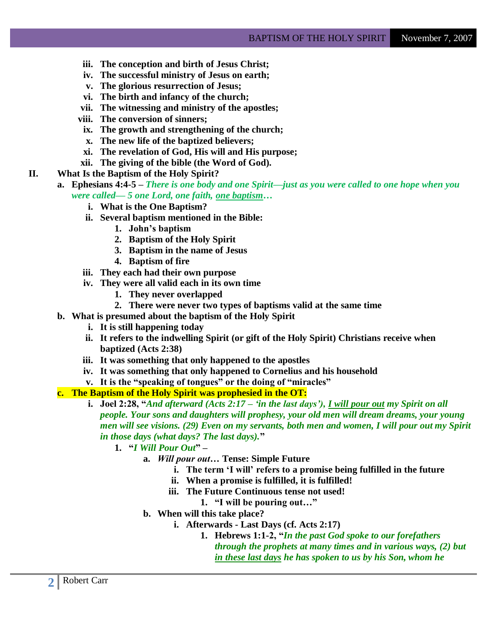- **iii. The conception and birth of Jesus Christ;**
- **iv. The successful ministry of Jesus on earth;**
- **v. The glorious resurrection of Jesus;**
- **vi. The birth and infancy of the church;**
- **vii. The witnessing and ministry of the apostles;**
- **viii. The conversion of sinners;**
	- **ix. The growth and strengthening of the church;**
	- **x. The new life of the baptized believers;**
	- **xi. The revelation of God, His will and His purpose;**
- **xii. The giving of the bible (the Word of God).**
- **II. What Is the Baptism of the Holy Spirit?**
	- **a. Ephesians 4:4-5 –** *There is one body and one Spirit—just as you were called to one hope when you were called— 5 one Lord, one faith, one baptism…*
		- **i. What is the One Baptism?**
		- **ii. Several baptism mentioned in the Bible:**
			- **1. John"s baptism**
			- **2. Baptism of the Holy Spirit**
			- **3. Baptism in the name of Jesus**
			- **4. Baptism of fire**
		- **iii. They each had their own purpose**
		- **iv. They were all valid each in its own time**
			- **1. They never overlapped**
			- **2. There were never two types of baptisms valid at the same time**
	- **b. What is presumed about the baptism of the Holy Spirit** 
		- **i. It is still happening today**
		- **ii. It refers to the indwelling Spirit (or gift of the Holy Spirit) Christians receive when baptized (Acts 2:38)**
		- **iii. It was something that only happened to the apostles**
		- **iv. It was something that only happened to Cornelius and his household**
		- **v. It is the "speaking of tongues" or the doing of "miracles"**

#### **c. The Baptism of the Holy Spirit was prophesied in the OT:**

- **i. Joel 2:28, "***And afterward (Acts 2:17 – ‗in the last days'), I will pour out my Spirit on all people. Your sons and daughters will prophesy, your old men will dream dreams, your young men will see visions. (29) Even on my servants, both men and women, I will pour out my Spirit in those days (what days? The last days).***"**
	- **1. "***I Will Pour Out***" –**
		- **a.** *Will pour out…* **Tense: Simple Future**
			- **i. The term "I will" refers to a promise being fulfilled in the future**
			- **ii. When a promise is fulfilled, it is fulfilled!**
			- **iii. The Future Continuous tense not used!**
				- **1. "I will be pouring out…"**
		- **b. When will this take place?**
			- **i. Afterwards - Last Days (cf. Acts 2:17)**
				- **1. Hebrews 1:1-2, "***In the past God spoke to our forefathers through the prophets at many times and in various ways, (2) but in these last days he has spoken to us by his Son, whom he*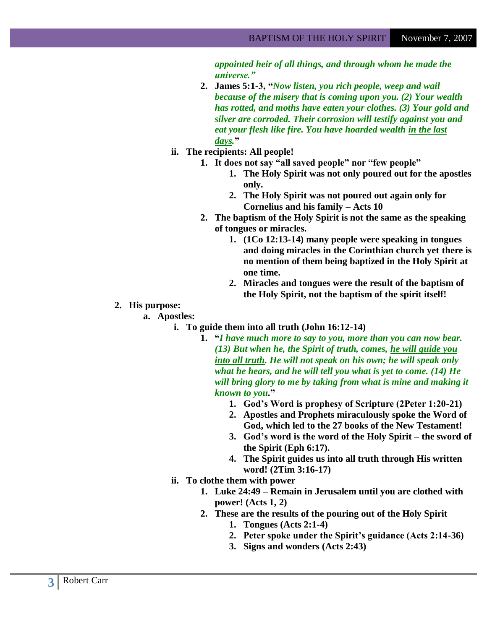*appointed heir of all things, and through whom he made the universe.‖*

- **2. James 5:1-3, "***Now listen, you rich people, weep and wail because of the misery that is coming upon you. (2) Your wealth has rotted, and moths have eaten your clothes. (3) Your gold and silver are corroded. Their corrosion will testify against you and eat your flesh like fire. You have hoarded wealth in the last days.***"**
- **ii. The recipients: All people!**
	- **1. It does not say "all saved people" nor "few people"**
		- **1. The Holy Spirit was not only poured out for the apostles only.**
		- **2. The Holy Spirit was not poured out again only for Cornelius and his family – Acts 10**
	- **2. The baptism of the Holy Spirit is not the same as the speaking of tongues or miracles.** 
		- **1. (1Co 12:13-14) many people were speaking in tongues and doing miracles in the Corinthian church yet there is no mention of them being baptized in the Holy Spirit at one time.**
		- **2. Miracles and tongues were the result of the baptism of the Holy Spirit, not the baptism of the spirit itself!**
- **2. His purpose:**

**a. Apostles:**

- **i. To guide them into all truth (John 16:12-14)**
	- **1. "***I have much more to say to you, more than you can now bear. (13) But when he, the Spirit of truth, comes, he will guide you into all truth. He will not speak on his own; he will speak only what he hears, and he will tell you what is yet to come. (14) He will bring glory to me by taking from what is mine and making it known to you***."**
		- **1. God"s Word is prophesy of Scripture (2Peter 1:20-21)**
		- **2. Apostles and Prophets miraculously spoke the Word of God, which led to the 27 books of the New Testament!**
		- **3. God"s word is the word of the Holy Spirit – the sword of the Spirit (Eph 6:17).**
		- **4. The Spirit guides us into all truth through His written word! (2Tim 3:16-17)**
- **ii. To clothe them with power**
	- **1. Luke 24:49 – Remain in Jerusalem until you are clothed with power! (Acts 1, 2)**
	- **2. These are the results of the pouring out of the Holy Spirit** 
		- **1. Tongues (Acts 2:1-4)**
		- **2. Peter spoke under the Spirit"s guidance (Acts 2:14-36)**
		- **3. Signs and wonders (Acts 2:43)**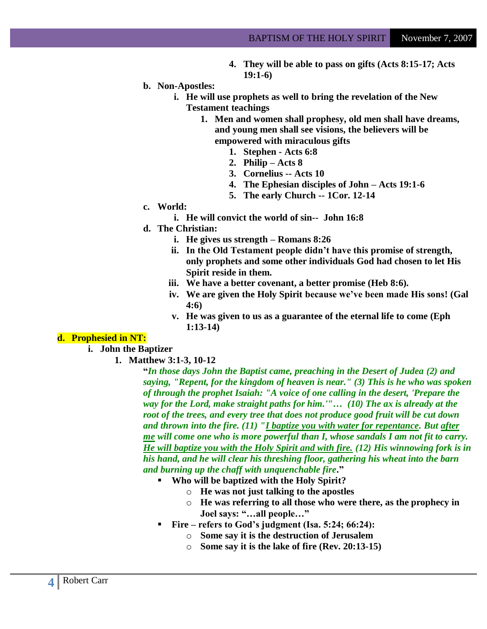- **4. They will be able to pass on gifts (Acts 8:15-17; Acts 19:1-6)**
- **b. Non-Apostles:**
	- **i. He will use prophets as well to bring the revelation of the New Testament teachings**
		- **1. Men and women shall prophesy, old men shall have dreams, and young men shall see visions, the believers will be empowered with miraculous gifts**
			- **1. Stephen - Acts 6:8**
			- **2. Philip – Acts 8**
			- **3. Cornelius -- Acts 10**
			- **4. The Ephesian disciples of John – Acts 19:1-6**
			- **5. The early Church -- 1Cor. 12-14**
- **c. World:**
	- **i. He will convict the world of sin-- John 16:8**
- **d. The Christian:**
	- **i. He gives us strength – Romans 8:26**
	- **ii. In the Old Testament people didn"t have this promise of strength, only prophets and some other individuals God had chosen to let His Spirit reside in them.**
	- **iii. We have a better covenant, a better promise (Heb 8:6).**
	- **iv. We are given the Holy Spirit because we"ve been made His sons! (Gal 4:6)**
	- **v. He was given to us as a guarantee of the eternal life to come (Eph 1:13-14)**

#### **d. Prophesied in NT:**

- **i. John the Baptizer**
	- **1. Matthew 3:1-3, 10-12**

**"***In those days John the Baptist came, preaching in the Desert of Judea (2) and saying, "Repent, for the kingdom of heaven is near." (3) This is he who was spoken of through the prophet Isaiah: "A voice of one calling in the desert, 'Prepare the way for the Lord, make straight paths for him.'"… (10) The ax is already at the root of the trees, and every tree that does not produce good fruit will be cut down and thrown into the fire. (11) "I baptize you with water for repentance. But after me will come one who is more powerful than I, whose sandals I am not fit to carry. He will baptize you with the Holy Spirit and with fire. (12) His winnowing fork is in his hand, and he will clear his threshing floor, gathering his wheat into the barn and burning up the chaff with unquenchable fire***."**

- **Who will be baptized with the Holy Spirit?**
	- o **He was not just talking to the apostles**
	- o **He was referring to all those who were there, as the prophecy in Joel says: "…all people…"**
- **Fire – refers to God"s judgment (Isa. 5:24; 66:24):**
	- o **Some say it is the destruction of Jerusalem**
	- o **Some say it is the lake of fire (Rev. 20:13-15)**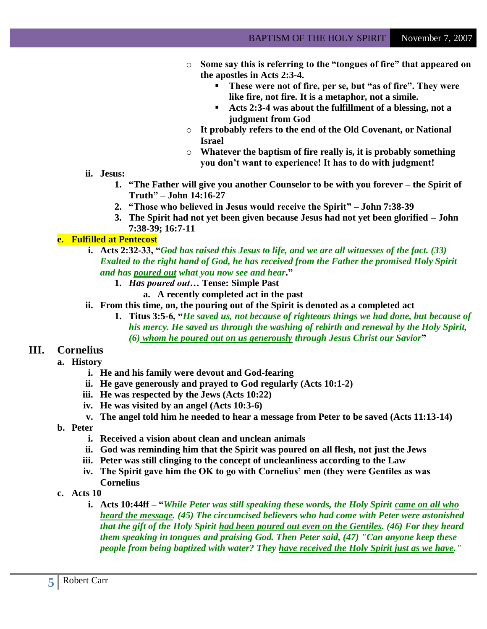- o **Some say this is referring to the "tongues of fire" that appeared on the apostles in Acts 2:3-4.**
	- **These were not of fire, per se, but "as of fire". They were like fire, not fire. It is a metaphor, not a simile.**
	- **Acts 2:3-4 was about the fulfillment of a blessing, not a judgment from God**
- o **It probably refers to the end of the Old Covenant, or National Israel**
- o **Whatever the baptism of fire really is, it is probably something you don"t want to experience! It has to do with judgment!**
- **ii. Jesus:**
	- **1. "The Father will give you another Counselor to be with you forever – the Spirit of Truth" – John 14:16-27**
	- **2. "Those who believed in Jesus would receive the Spirit" – John 7:38-39**
	- **3. The Spirit had not yet been given because Jesus had not yet been glorified – John 7:38-39; 16:7-11**

# **e. Fulfilled at Pentecost**

- **i. Acts 2:32-33, "***God has raised this Jesus to life, and we are all witnesses of the fact. (33) Exalted to the right hand of God, he has received from the Father the promised Holy Spirit and has poured out what you now see and hear***."**
	- **1.** *Has poured out…* **Tense: Simple Past**
		- **a. A recently completed act in the past**
- **ii. From this time, on, the pouring out of the Spirit is denoted as a completed act**
	- **1. Titus 3:5-6, "***He saved us, not because of righteous things we had done, but because of his mercy. He saved us through the washing of rebirth and renewal by the Holy Spirit, (6) whom he poured out on us generously through Jesus Christ our Savior***"**

# **III. Cornelius**

- **a. History**
	- **i. He and his family were devout and God-fearing**
	- **ii. He gave generously and prayed to God regularly (Acts 10:1-2)**
	- **iii. He was respected by the Jews (Acts 10:22)**
	- **iv. He was visited by an angel (Acts 10:3-6)**
	- **v. The angel told him he needed to hear a message from Peter to be saved (Acts 11:13-14)**
- **b. Peter**
	- **i. Received a vision about clean and unclean animals**
	- **ii. God was reminding him that the Spirit was poured on all flesh, not just the Jews**
	- **iii. Peter was still clinging to the concept of uncleanliness according to the Law**
	- **iv. The Spirit gave him the OK to go with Cornelius" men (they were Gentiles as was Cornelius**
- **c. Acts 10**
	- **i. Acts 10:44ff – "***While Peter was still speaking these words, the Holy Spirit came on all who heard the message. (45) The circumcised believers who had come with Peter were astonished that the gift of the Holy Spirit had been poured out even on the Gentiles. (46) For they heard them speaking in tongues and praising God. Then Peter said, (47) "Can anyone keep these people from being baptized with water? They have received the Holy Spirit just as we have."*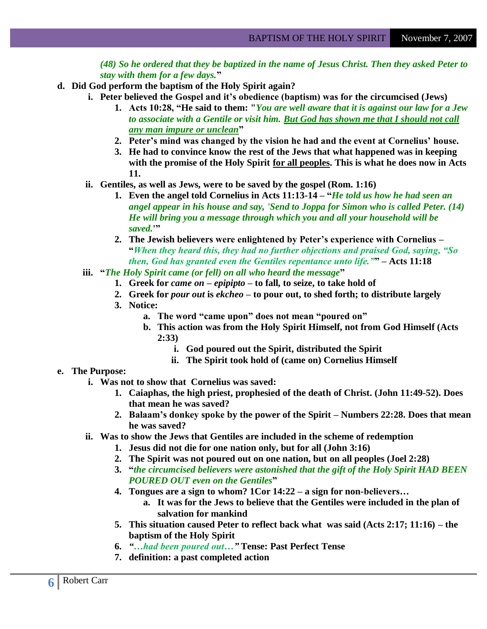*(48) So he ordered that they be baptized in the name of Jesus Christ. Then they asked Peter to stay with them for a few days.***"**

- **d. Did God perform the baptism of the Holy Spirit again?**
	- **i. Peter believed the Gospel and it"s obedience (baptism) was for the circumcised (Jews)**
		- **1. Acts 10:28, "He said to them: "***You are well aware that it is against our law for a Jew to associate with a Gentile or visit him. But God has shown me that I should not call any man impure or unclean***"**
		- **2. Peter"s mind was changed by the vision he had and the event at Cornelius" house.**
		- **3. He had to convince know the rest of the Jews that what happened was in keeping with the promise of the Holy Spirit for all peoples. This is what he does now in Acts 11.**
	- **ii. Gentiles, as well as Jews, were to be saved by the gospel (Rom. 1:16)**
		- **1. Even the angel told Cornelius in Acts 11:13-14 – "***He told us how he had seen an angel appear in his house and say, 'Send to Joppa for Simon who is called Peter. (14) He will bring you a message through which you and all your household will be saved.***'"**
		- **2. The Jewish believers were enlightened by Peter"s experience with Cornelius – "***When they heard this, they had no further objections and praised God, saying, ―So then, God has granted even the Gentiles repentance unto life.‖***" – Acts 11:18**
	- **iii. "***The Holy Spirit came (or fell) on all who heard the message***"**
		- **1. Greek for** *came on* **–** *epipipto* **– to fall, to seize, to take hold of**
		- **2. Greek for** *pour out* **is** *ekcheo* **– to pour out, to shed forth; to distribute largely**
		- **3. Notice:**
			- **a. The word "came upon" does not mean "poured on"**
			- **b. This action was from the Holy Spirit Himself, not from God Himself (Acts 2:33)**
				- **i. God poured out the Spirit, distributed the Spirit**
				- **ii. The Spirit took hold of (came on) Cornelius Himself**

### **e. The Purpose:**

- **i. Was not to show that Cornelius was saved:**
	- **1. Caiaphas, the high priest, prophesied of the death of Christ. (John 11:49-52). Does that mean he was saved?**
	- **2. Balaam"s donkey spoke by the power of the Spirit – Numbers 22:28. Does that mean he was saved?**
- **ii. Was to show the Jews that Gentiles are included in the scheme of redemption**
	- **1. Jesus did not die for one nation only, but for all (John 3:16)**
	- **2. The Spirit was not poured out on one nation, but on all peoples (Joel 2:28)**
	- **3. "***the circumcised believers were astonished that the gift of the Holy Spirit HAD BEEN POURED OUT even on the Gentiles***"**
	- **4. Tongues are a sign to whom? 1Cor 14:22 – a sign for non-believers…** 
		- **a. It was for the Jews to believe that the Gentiles were included in the plan of salvation for mankind**
	- **5. This situation caused Peter to reflect back what was said (Acts 2:17; 11:16) – the baptism of the Holy Spirit**
	- **6.** *―…had been poured out…‖* **Tense: Past Perfect Tense**
	- **7. definition: a past completed action**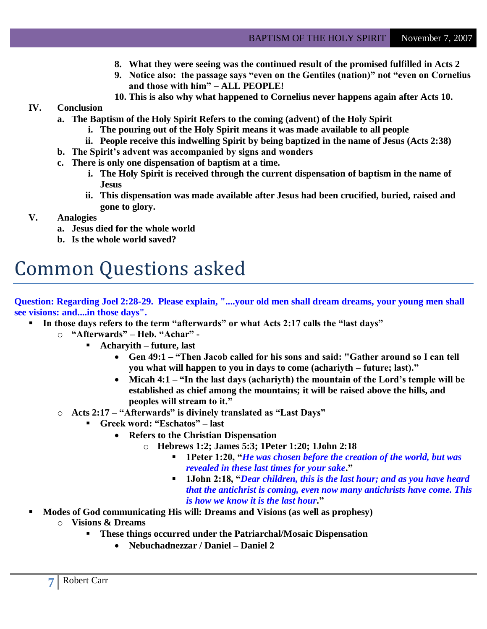- **8. What they were seeing was the continued result of the promised fulfilled in Acts 2**
- **9. Notice also: the passage says "even on the Gentiles (nation)" not "even on Cornelius and those with him" – ALL PEOPLE!**
- **10. This is also why what happened to Cornelius never happens again after Acts 10.**

# **IV. Conclusion**

- **a. The Baptism of the Holy Spirit Refers to the coming (advent) of the Holy Spirit** 
	- **i. The pouring out of the Holy Spirit means it was made available to all people**
	- **ii. People receive this indwelling Spirit by being baptized in the name of Jesus (Acts 2:38)**
- **b. The Spirit"s advent was accompanied by signs and wonders**
- **c. There is only one dispensation of baptism at a time.**
	- **i. The Holy Spirit is received through the current dispensation of baptism in the name of Jesus**
	- **ii. This dispensation was made available after Jesus had been crucified, buried, raised and gone to glory.**
- **V. Analogies**
	- **a. Jesus died for the whole world**
	- **b. Is the whole world saved?**

# Common Questions asked

**Question: Regarding Joel 2:28-29. Please explain, "....your old men shall dream dreams, your young men shall see visions: and....in those days".**

- **In those days refers to the term "afterwards" or what Acts 2:17 calls the "last days"**
	- o **"Afterwards" – Heb. "Achar" -**
		- **Acharyith – future, last**
			- **Gen 49:1 – "Then Jacob called for his sons and said: "Gather around so I can tell you what will happen to you in days to come (achariyth – future; last)."**
			- **Micah 4:1 – "In the last days (achariyth) the mountain of the Lord"s temple will be established as chief among the mountains; it will be raised above the hills, and peoples will stream to it."**
	- o **Acts 2:17 – "Afterwards" is divinely translated as "Last Days"**
		- **Greek word: "Eschatos" – last**
			- **Refers to the Christian Dispensation**
				- o **Hebrews 1:2; James 5:3; 1Peter 1:20; 1John 2:18**
					- **1Peter 1:20, "***He was chosen before the creation of the world, but was revealed in these last times for your sake***."**
					- **1John 2:18, "***Dear children, this is the last hour; and as you have heard that the antichrist is coming, even now many antichrists have come. This is how we know it is the last hour***."**
- **Modes of God communicating His will: Dreams and Visions (as well as prophesy)** o **Visions & Dreams**
	- **These things occurred under the Patriarchal/Mosaic Dispensation**
		- **Nebuchadnezzar / Daniel – Daniel 2**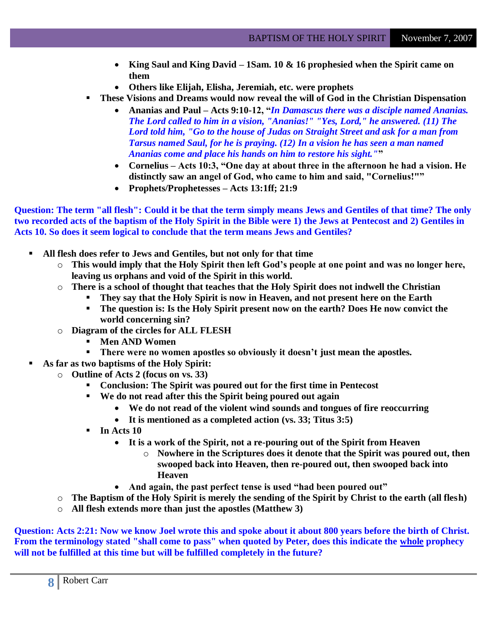- **King Saul and King David – 1Sam. 10 & 16 prophesied when the Spirit came on them**
- **Others like Elijah, Elisha, Jeremiah, etc. were prophets**
- **These Visions and Dreams would now reveal the will of God in the Christian Dispensation**
	- **Ananias and Paul – Acts 9:10-12, "***In Damascus there was a disciple named Ananias. The Lord called to him in a vision, "Ananias!" "Yes, Lord," he answered. (11) The Lord told him, "Go to the house of Judas on Straight Street and ask for a man from Tarsus named Saul, for he is praying. (12) In a vision he has seen a man named Ananias come and place his hands on him to restore his sight."***"**
	- **Cornelius – Acts 10:3, "One day at about three in the afternoon he had a vision. He distinctly saw an angel of God, who came to him and said, "Cornelius!""**
	- **Prophets/Prophetesses – Acts 13:1ff; 21:9**

**Question: The term "all flesh": Could it be that the term simply means Jews and Gentiles of that time? The only two recorded acts of the baptism of the Holy Spirit in the Bible were 1) the Jews at Pentecost and 2) Gentiles in Acts 10. So does it seem logical to conclude that the term means Jews and Gentiles?**

- **All flesh does refer to Jews and Gentiles, but not only for that time**
	- o **This would imply that the Holy Spirit then left God"s people at one point and was no longer here, leaving us orphans and void of the Spirit in this world.**
	- o **There is a school of thought that teaches that the Holy Spirit does not indwell the Christian**
		- **They say that the Holy Spirit is now in Heaven, and not present here on the Earth**
			- **The question is: Is the Holy Spirit present now on the earth? Does He now convict the world concerning sin?**
	- o **Diagram of the circles for ALL FLESH**
		- **Men AND Women**
		- **There were no women apostles so obviously it doesn"t just mean the apostles.**
- **As far as two baptisms of the Holy Spirit:**
	- o **Outline of Acts 2 (focus on vs. 33)**
		- **Conclusion: The Spirit was poured out for the first time in Pentecost**
		- **We do not read after this the Spirit being poured out again**
			- **We do not read of the violent wind sounds and tongues of fire reoccurring**
			- **It is mentioned as a completed action (vs. 33; Titus 3:5)**
		- $\blacksquare$  In Acts 10
			- **It is a work of the Spirit, not a re-pouring out of the Spirit from Heaven**
				- o **Nowhere in the Scriptures does it denote that the Spirit was poured out, then swooped back into Heaven, then re-poured out, then swooped back into Heaven**
			- **And again, the past perfect tense is used "had been poured out"**
	- o **The Baptism of the Holy Spirit is merely the sending of the Spirit by Christ to the earth (all flesh)**
	- o **All flesh extends more than just the apostles (Matthew 3)**

**Question: Acts 2:21: Now we know Joel wrote this and spoke about it about 800 years before the birth of Christ. From the terminology stated "shall come to pass" when quoted by Peter, does this indicate the whole prophecy will not be fulfilled at this time but will be fulfilled completely in the future?**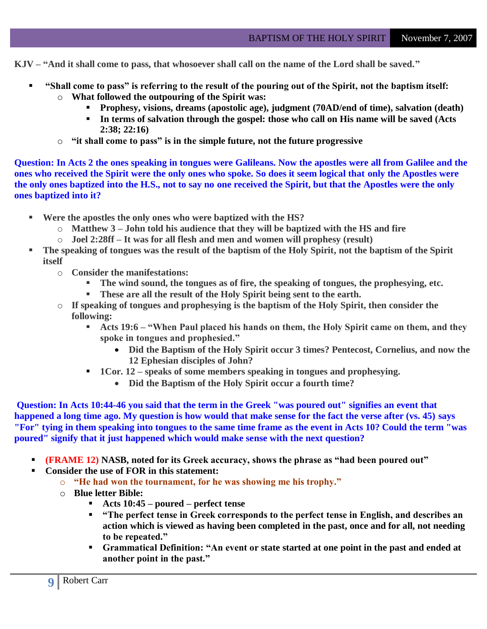**KJV – "And it shall come to pass, that whosoever shall call on the name of the Lord shall be saved."**

- **"Shall come to pass" is referring to the result of the pouring out of the Spirit, not the baptism itself:**
	- o **What followed the outpouring of the Spirit was:**
		- **Prophesy, visions, dreams (apostolic age), judgment (70AD/end of time), salvation (death)**
		- **In terms of salvation through the gospel: those who call on His name will be saved (Acts 2:38; 22:16)**
	- o **"it shall come to pass" is in the simple future, not the future progressive**

**Question: In Acts 2 the ones speaking in tongues were Galileans. Now the apostles were all from Galilee and the ones who received the Spirit were the only ones who spoke. So does it seem logical that only the Apostles were the only ones baptized into the H.S., not to say no one received the Spirit, but that the Apostles were the only ones baptized into it?**

- **Were the apostles the only ones who were baptized with the HS?**
	- o **Matthew 3 – John told his audience that they will be baptized with the HS and fire**
	- o **Joel 2:28ff – It was for all flesh and men and women will prophesy (result)**
- **The speaking of tongues was the result of the baptism of the Holy Spirit, not the baptism of the Spirit itself**
	- o **Consider the manifestations:**
		- **The wind sound, the tongues as of fire, the speaking of tongues, the prophesying, etc.**
		- **These are all the result of the Holy Spirit being sent to the earth.**
	- o **If speaking of tongues and prophesying is the baptism of the Holy Spirit, then consider the following:**
		- **Acts 19:6 – "When Paul placed his hands on them, the Holy Spirit came on them, and they spoke in tongues and prophesied."**
			- **Did the Baptism of the Holy Spirit occur 3 times? Pentecost, Cornelius, and now the 12 Ephesian disciples of John?**
		- **1Cor. 12** speaks of some members speaking in tongues and prophesying.
			- **Did the Baptism of the Holy Spirit occur a fourth time?**

**Question: In Acts 10:44-46 you said that the term in the Greek "was poured out" signifies an event that happened a long time ago. My question is how would that make sense for the fact the verse after (vs. 45) says "For" tying in them speaking into tongues to the same time frame as the event in Acts 10? Could the term "was poured" signify that it just happened which would make sense with the next question?**

- **(FRAME 12) NASB, noted for its Greek accuracy, shows the phrase as "had been poured out"**
- **Consider the use of FOR in this statement:**
	- o **"He had won the tournament, for he was showing me his trophy."**
	- o **Blue letter Bible:**
		- **Acts 10:45 – poured – perfect tense**
		- **"The perfect tense in Greek corresponds to the perfect tense in English, and describes an action which is viewed as having been completed in the past, once and for all, not needing to be repeated."**
		- **Grammatical Definition: "An event or state started at one point in the past and ended at another point in the past."**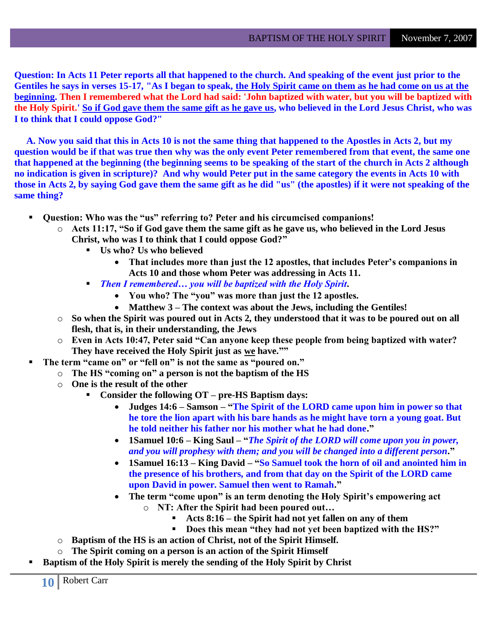**Question: In Acts 11 Peter reports all that happened to the church. And speaking of the event just prior to the Gentiles he says in verses 15-17, "As I began to speak, the Holy Spirit came on them as he had come on us at the beginning. Then I remembered what the Lord had said: 'John baptized with water, but you will be baptized with the Holy Spirit.' So if God gave them the same gift as he gave us, who believed in the Lord Jesus Christ, who was I to think that I could oppose God?"**

 **A. Now you said that this in Acts 10 is not the same thing that happened to the Apostles in Acts 2, but my question would be if that was true then why was the only event Peter remembered from that event, the same one that happened at the beginning (the beginning seems to be speaking of the start of the church in Acts 2 although no indication is given in scripture)? And why would Peter put in the same category the events in Acts 10 with those in Acts 2, by saying God gave them the same gift as he did "us" (the apostles) if it were not speaking of the same thing?**

- **Question: Who was the "us" referring to? Peter and his circumcised companions!**
	- o **Acts 11:17, "So if God gave them the same gift as he gave us, who believed in the Lord Jesus Christ, who was I to think that I could oppose God?"**
		- **Us who? Us who believed**
			- **That includes more than just the 12 apostles, that includes Peter"s companions in Acts 10 and those whom Peter was addressing in Acts 11.**
		- *Then I remembered… you will be baptized with the Holy Spirit***.**
			- **You who? The "you" was more than just the 12 apostles.**
			- **Matthew 3 – The context was about the Jews, including the Gentiles!**
	- o **So when the Spirit was poured out in Acts 2, they understood that it was to be poured out on all flesh, that is, in their understanding, the Jews**
	- o **Even in Acts 10:47, Peter said "Can anyone keep these people from being baptized with water? They have received the Holy Spirit just as we have.""**
	- **The term "came on" or "fell on" is not the same as "poured on."**
		- o **The HS "coming on" a person is not the baptism of the HS**
		- o **One is the result of the other**
			- **Consider the following OT – pre-HS Baptism days:**
				- **Judges 14:6 – Samson – "The Spirit of the LORD came upon him in power so that he tore the lion apart with his bare hands as he might have torn a young goat. But he told neither his father nor his mother what he had done."**
				- **1Samuel 10:6 – King Saul – "***The Spirit of the LORD will come upon you in power, and you will prophesy with them; and you will be changed into a different person***."**
				- **1Samuel 16:13 – King David – "So Samuel took the horn of oil and anointed him in the presence of his brothers, and from that day on the Spirit of the LORD came upon David in power. Samuel then went to Ramah."**
				- **The term "come upon" is an term denoting the Holy Spirit"s empowering act** o **NT: After the Spirit had been poured out…**
					- **Acts 8:16 – the Spirit had not yet fallen on any of them**
					- **Does this mean "they had not yet been baptized with the HS?"**
		- o **Baptism of the HS is an action of Christ, not of the Spirit Himself.**
		- o **The Spirit coming on a person is an action of the Spirit Himself**
- **Baptism of the Holy Spirit is merely the sending of the Holy Spirit by Christ**